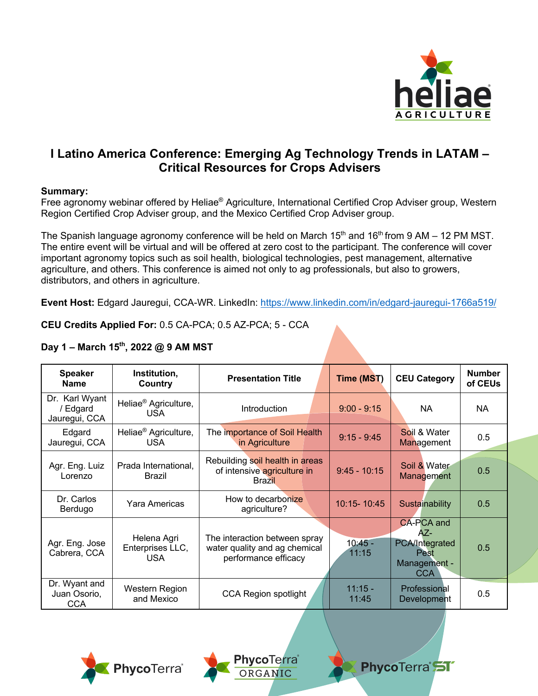

## **I Latino America Conference: Emerging Ag Technology Trends in LATAM – Critical Resources for Crops Advisers**

## **Summary:**

Free agronomy webinar offered by Heliae® Agriculture, International Certified Crop Adviser group, Western Region Certified Crop Adviser group, and the Mexico Certified Crop Adviser group.

The Spanish language agronomy conference will be held on March  $15<sup>th</sup>$  and  $16<sup>th</sup>$  from 9 AM – 12 PM MST. The entire event will be virtual and will be offered at zero cost to the participant. The conference will cover important agronomy topics such as soil health, biological technologies, pest management, alternative agriculture, and others. This conference is aimed not only to ag professionals, but also to growers, distributors, and others in agriculture.

**Event Host:** Edgard Jauregui, CCA-WR. LinkedIn: https://www.linkedin.com/in/edgard-jauregui-1766a519/

**CEU Credits Applied For:** 0.5 CA-PCA; 0.5 AZ-PCA; 5 - CCA

| <b>Speaker</b><br><b>Name</b>               | Institution,<br>Country                        | <b>Presentation Title</b>                                                              | Time (MST)         | <b>CEU Category</b>                                                                     | <b>Number</b><br>of CEUs |
|---------------------------------------------|------------------------------------------------|----------------------------------------------------------------------------------------|--------------------|-----------------------------------------------------------------------------------------|--------------------------|
| Dr. Karl Wyant<br>/ Edgard<br>Jauregui, CCA | Heliae <sup>®</sup> Agriculture,<br><b>USA</b> | Introduction                                                                           | $9:00 - 9:15$      | NA                                                                                      | <b>NA</b>                |
| Edgard<br>Jauregui, CCA                     | Heliae <sup>®</sup> Agriculture,<br><b>USA</b> | The importance of Soil Health<br>in Agriculture                                        | $9:15 - 9:45$      | Soil & Water<br>Management                                                              | 0.5                      |
| Agr. Eng. Luiz<br>Lorenzo                   | Prada International,<br><b>Brazil</b>          | Rebuilding soil health in areas<br>of intensive agriculture in<br><b>Brazil</b>        | $9:45 - 10:15$     | Soil & Water<br>Management                                                              | 0.5                      |
| Dr. Carlos<br>Berdugo                       | Yara Americas                                  | How to decarbonize<br>agriculture?                                                     | 10:15-10:45        | Sustainability                                                                          | 0.5                      |
| Agr. Eng. Jose<br>Cabrera, CCA              | Helena Agri<br>Enterprises LLC,<br><b>USA</b>  | The interaction between spray<br>water quality and ag chemical<br>performance efficacy | $10:45 -$<br>11:15 | <b>CA-PCA and</b><br>AZ-<br>PCA/Integrated<br><b>Pest</b><br>Management -<br><b>CCA</b> | 0.5                      |
| Dr. Wyant and<br>Juan Osorio,<br><b>CCA</b> | Western Region<br>and Mexico                   | <b>CCA Region spotlight</b>                                                            | $11:15 -$<br>11:45 | Professional<br>Development                                                             | 0.5                      |

PhycoTerra<sup>®</sup>

ORGANIC

## **Day 1 – March 15th, 2022 @ 9 AM MST**



PhycoTerra<sup>ST</sup>